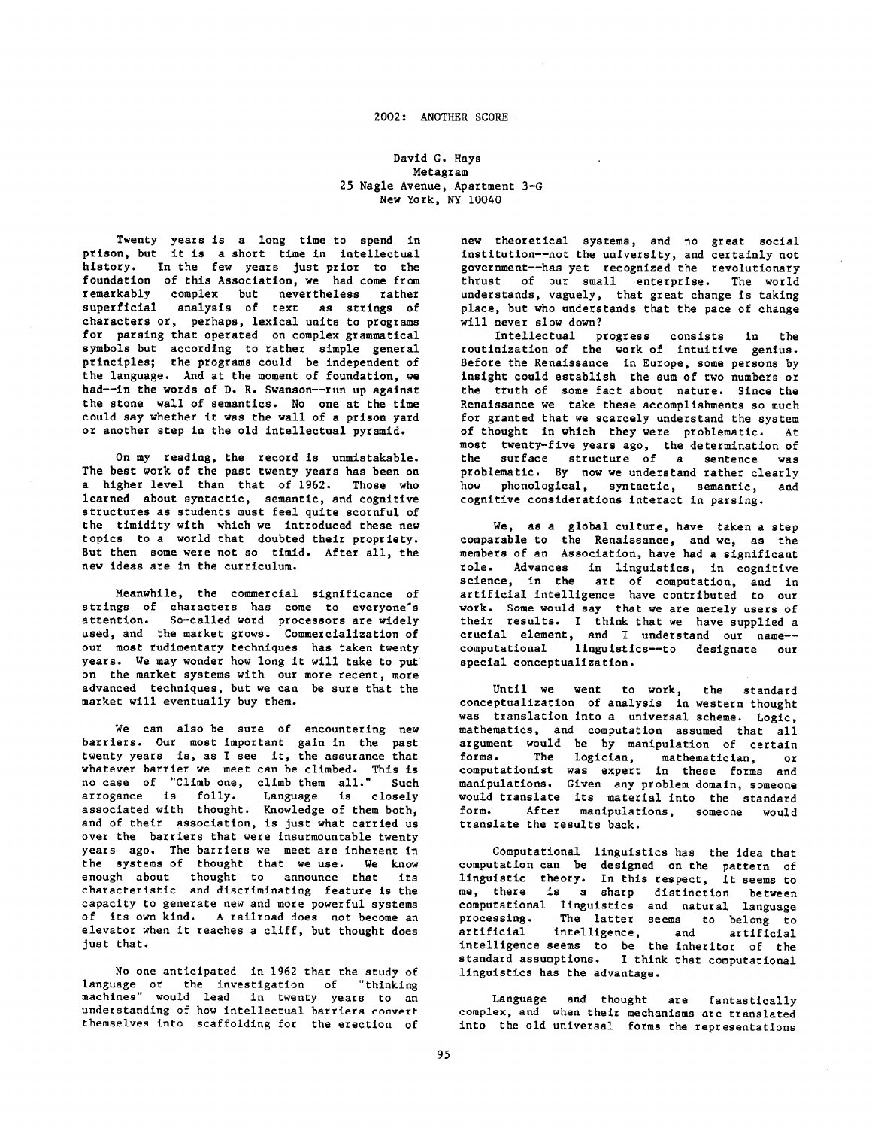## 2002: ANOTHER SCORE

## David G. Hays Metagram 25 Nagle Avenue, Apartment 3-G New York, NY 10040

Twenty years is a long time to spend in prison, but it is a short time in intellectual history. In the few years Just prior to the foundation of this Association, we had come from remarkably complex but nevertheless rather superficial analysis of text as strings of characters or, perhaps, lexlcal units to programs for parsing *that* operated on complex grammatical symbols but according to rather simple general principles; the programs could be independent of the language. And at the moment of foundation, we had--In the words of D. R. Swanson--run up against the stone wall of semantics. No one at the time could say whether it was the wall of a prison yard or another step in the old intellectual pyramid.

On my reading, the record is unmistakable. The best work of the past twenty years has been on a higher level than that of 1962. Those who learned about syntactic, semantic, and cognitive structures as students must feel quite scornful of the timidity with which we introduced these new topics to a world that doubted their propriety. But then some were not so timid. After all, the new ideas are in the curriculum.

Meanwhile, the commercial significance of strings of characters has come to everyone's *attention.* So-called word processors are widely used, and the market grows. Commercialization of our most rudimentary techniques has taken twenty years. We may wonder how long it will take to put on the market systems with our more recent, more advanced techniques, but we can be sure *that* the market will eventually buy them.

We can also be sure of encountering new barriers. Our most important gain in the past twenty years is, as I see it, the assurance that whatever barrier we meet can be climbed. This is no case of "Climb one, climb them all." Such arrogance is folly. Language is closely associated with thought. Knowledge of them both, and of their association, is Just what carried us over the barriers that were insurmountable twenty years ago. The barriers we meet are inherent in the systems of thought *that* we use. We know enough about thought to announce that its characteristic and dlsczlminatlng feature is the capacity to generate new and more powerful systems of its own kind. A railroad does not become an elevator when it reaches a cliff, but thought does Just that.

No one anticipated in 1962 that the study of language or the investigation of "thinking machines" would lead in twenty years to an understanding of how intellectual barriers convert themselves into scaffolding for the erection of

new theoretical systems, and no great social institution--not the university, and certainly not government--has yet recognized the revolutionary thrust of our small enterprise. The world understands, vaguely, that great change is taking place, but who understands that the pace of change will never slow down?

Intellectual progress consists in the routinlzatlon of the work of intuitive genius. Before the Renaissance in Europe, some persons by insight could establish the sum of two numbers or the truth of some fact about nature. Since the Renaissance we take these accomplishments so much for granted *that* we scarcely understand the system of thought in which they were problematic. At most twenty-flve years ago, the determination of the surface structure of a sentence was problematic. By now we understand rather clearly how phonological, syntactic, semantic, and cognitive considerations interact in parsing.

We, as a global culture, have taken a step comparable to the Renaissance, and we, as the members of an Association, have had a significant role. Advances in linguistics, in cognitive science, in the *art* of computation, and in artificial intelligence have contributed to our work. Some would say *that* we are merely users of their results. I think that we have supplied a crucial element, and I understand our name- computational linguistics--to designate our special conceptualization.

Until we went to work, the standard conceptualization of analysis in western thought was translation into a universal scheme. Logic, mathematics, and computation assumed that all argument would be by manipulation of certain forms. The logician, mathematician, or computatlonist was expert in these forms and manipulations. Given any problem domain, someone would *translate* its material into the standard form. After manipulations, someone would translate the results back.

Computational linguistics has the idea that computation can be designed on the pattern of linguistic theory. In this respect, it seems to me, there is a sharp distinction between computational linguistics and natural language The latter seems to belong to artificial intelligence, and artificial intelligence seems to be the inheritor of the *standard* assumptions. I think *that* computational linguistics has *the* advantage.

Language and thought are fantastically complex, and when their mechanisms are translated into the old universal forms the representations